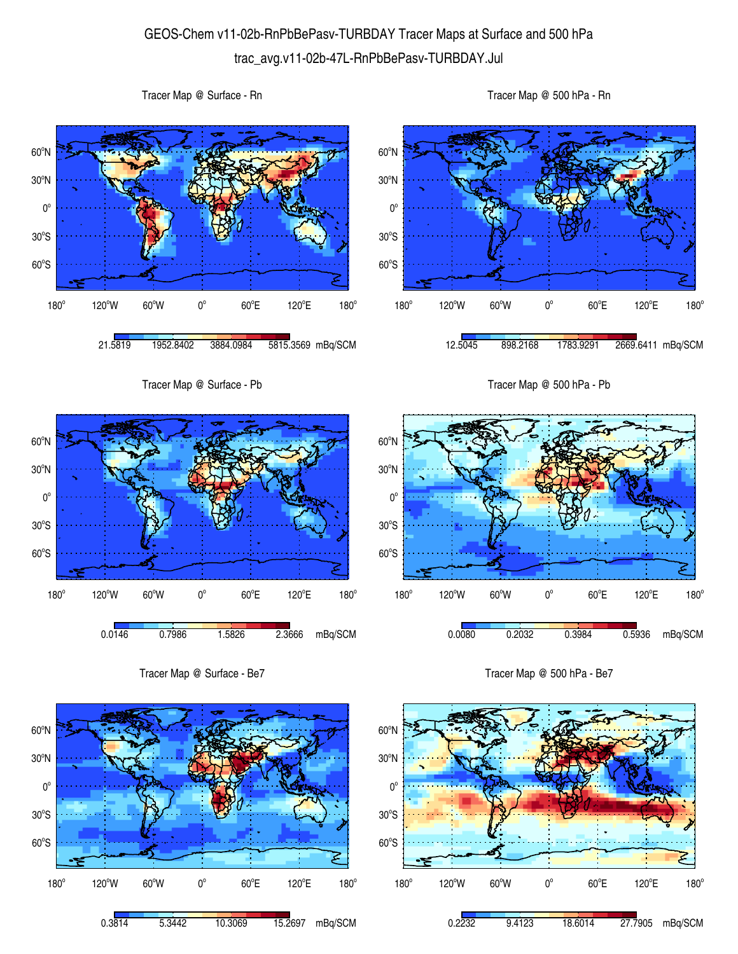## GEOS-Chem v11-02b-RnPbBePasv-TURBDAY Tracer Maps at Surface and 500 hPa trac\_avg.v11-02b-47L-RnPbBePasv-TURBDAY.Jul

 $60^{\circ}$ S  $30^{\circ}$ S  $0^{\circ}$ 30<sup>°</sup>N 60<sup>o</sup>N 180°  $120^{\circ}$ W 60 $^{\circ}$ W 0 $^{\circ}$  $60^{\circ}$ E 120°E  $180^\circ$ 21.5819 1952.8402 3884.0984 5815.3569 mBq/SCM  $60^{\circ}$ S  $30^{\circ}$ S  $0^{\circ}$ 30<sup>°</sup>N 60<sup>o</sup>N  $180^\circ$ 120°W 60°W 0°  $60^{\circ}$ E 120°E  $180^\circ$ 12.5045 898.2168 1783.9291 2669.6411 mBq/SCM Tracer Map @ Surface - Pb 60°S  $30^{\circ}$ S  $0^{\circ}$ 30<sup>°</sup>N 60<sup>o</sup>N 180°  $120^{\circ}$ W 60 $^{\circ}$ W 0 $^{\circ}$  $60^{\circ}$ E 120°E  $180^\circ$ 0.0146 0.7986 1.5826 2.3666 mBq/SCM Tracer Map @ 500 hPa - Pb 60°S  $30^{\circ}$ S  $0^{\circ}$ 30<sup>°</sup>N 60<sup>o</sup>N 180°  $120^{\circ}$ W 60 $^{\circ}$ W 0 $^{\circ}$  $60^{\circ}$ E 120°E  $180^\circ$ 0.0080 0.2032 0.3984 0.5936 mBq/SCM Tracer Map @ Surface - Be7  $0^{\circ}$ 30<sup>°</sup>N 60<sup>o</sup>N Tracer Map @ 500 hPa - Be7  $0^{\circ}$ 30<sup>°</sup>N 60<sup>o</sup>N

180° 120°W 60°W 0°  $60^{\circ}E$ 120°E  $180^\circ$ 0.3814 5.3442 10.3069 15.2697 mBq/SCM

60°S

 $30^{\circ}$ S

Tracer Map @ Surface - Rn



Tracer Map @ 500 hPa - Rn